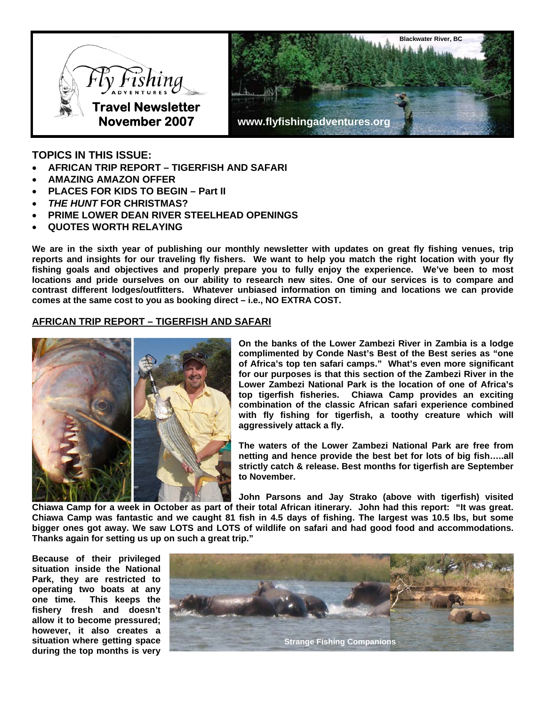

**TOPICS IN THIS ISSUE:** 

- **AFRICAN TRIP REPORT TIGERFISH AND SAFARI**
- **AMAZING AMAZON OFFER**
- **PLACES FOR KIDS TO BEGIN Part II**
- *THE HUNT* **FOR CHRISTMAS?**
- **PRIME LOWER DEAN RIVER STEELHEAD OPENINGS**
- **QUOTES WORTH RELAYING**

**We are in the sixth year of publishing our monthly newsletter with updates on great fly fishing venues, trip reports and insights for our traveling fly fishers. We want to help you match the right location with your fly fishing goals and objectives and properly prepare you to fully enjoy the experience. We've been to most locations and pride ourselves on our ability to research new sites. One of our services is to compare and contrast different lodges/outfitters. Whatever unbiased information on timing and locations we can provide comes at the same cost to you as booking direct – i.e., NO EXTRA COST.** 

# **AFRICAN TRIP REPORT – TIGERFISH AND SAFARI**



**On the banks of the Lower Zambezi River in Zambia is a lodge complimented by Conde Nast's Best of the Best series as "one of Africa's top ten safari camps." What's even more significant for our purposes is that this section of the Zambezi River in the Lower Zambezi National Park is the location of one of Africa's top tigerfish fisheries. Chiawa Camp provides an exciting combination of the classic African safari experience combined with fly fishing for tigerfish, a toothy creature which will aggressively attack a fly.** 

**The waters of the Lower Zambezi National Park are free from netting and hence provide the best bet for lots of big fish…..all strictly catch & release. Best months for tigerfish are September to November.** 

**John Parsons and Jay Strako (above with tigerfish) visited Chiawa Camp for a week in October as part of their total African itinerary. John had this report: "It was great. Chiawa Camp was fantastic and we caught 81 fish in 4.5 days of fishing. The largest was 10.5 lbs, but some bigger ones got away. We saw LOTS and LOTS of wildlife on safari and had good food and accommodations. Thanks again for setting us up on such a great trip."** 

**Because of their privileged situation inside the National Park, they are restricted to operating two boats at any one time. This keeps the fishery fresh and doesn't allow it to become pressured; however, it also creates a situation where getting space during the top months is very** 

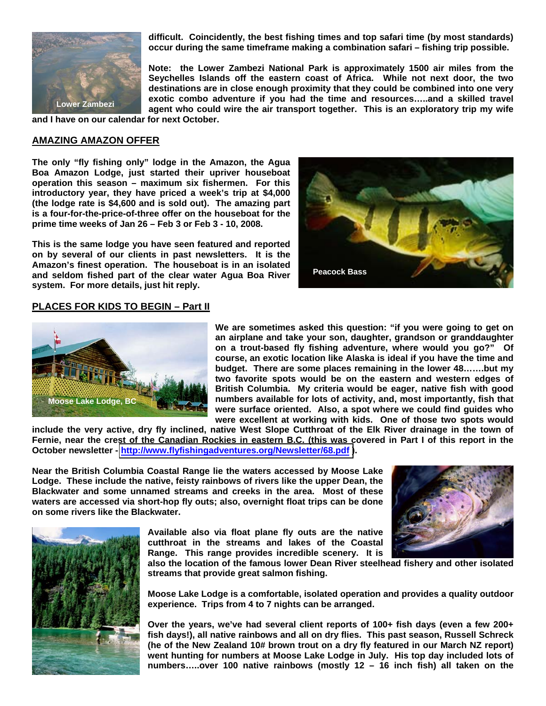

**difficult. Coincidently, the best fishing times and top safari time (by most standards) occur during the same timeframe making a combination safari – fishing trip possible.**

**Note: the Lower Zambezi National Park is approximately 1500 air miles from the Seychelles Islands off the eastern coast of Africa. While not next door, the two destinations are in close enough proximity that they could be combined into one very exotic combo adventure if you had the time and resources…..and a skilled travel agent who could wire the air transport together. This is an exploratory trip my wife** 

**and I have on our calendar for next October.**

### **AMAZING AMAZON OFFER**

**The only "fly fishing only" lodge in the Amazon, the Agua Boa Amazon Lodge, just started their upriver houseboat operation this season – maximum six fishermen. For this introductory year, they have priced a week's trip at \$4,000 (the lodge rate is \$4,600 and is sold out). The amazing part is a four-for-the-price-of-three offer on the houseboat for the prime time weeks of Jan 26 – Feb 3 or Feb 3 - 10, 2008.**

**This is the same lodge you have seen featured and reported on by several of our clients in past newsletters. It is the Amazon's finest operation. The houseboat is in an isolated and seldom fished part of the clear water Agua Boa River system. For more details, just hit reply.** 



### **PLACES FOR KIDS TO BEGIN – Part II**



**We are sometimes asked this question: "if you were going to get on an airplane and take your son, daughter, grandson or granddaughter on a trout-based fly fishing adventure, where would you go?" Of course, an exotic location like Alaska is ideal if you have the time and budget. There are some places remaining in the lower 48…….but my two favorite spots would be on the eastern and western edges of British Columbia. My criteria would be eager, native fish with good numbers available for lots of activity, and, most importantly, fish that were surface oriented. Also, a spot where we could find guides who were excellent at working with kids. One of those two spots would** 

**include the very active, dry fly inclined, native West Slope Cutthroat of the Elk River drainage in the town of Fernie, near the crest of the Canadian Rockies in eastern B.C. (this was covered in Part I of this report in the October newsletter - [http://www.flyfishingadventures.org/Newsletter/68.pdf \)](http://media.wix.com/ugd/02e769_7e94abefe4124d0bac8496080c4e4123.pdf).** 

**Near the British Columbia Coastal Range lie the waters accessed by Moose Lake Lodge. These include the native, feisty rainbows of rivers like the upper Dean, the Blackwater and some unnamed streams and creeks in the area. Most of these waters are accessed via short-hop fly outs; also, overnight float trips can be done on some rivers like the Blackwater.** 



**Available also via float plane fly outs are the native cutthroat in the streams and lakes of the Coastal Range. This range provides incredible scenery. It is** 

**also the location of the famous lower Dean River steelhead fishery and other isolated streams that provide great salmon fishing.** 

**Moose Lake Lodge is a comfortable, isolated operation and provides a quality outdoor experience. Trips from 4 to 7 nights can be arranged.** 

**Over the years, we've had several client reports of 100+ fish days (even a few 200+ fish days!), all native rainbows and all on dry flies. This past season, Russell Schreck (he of the New Zealand 10# brown trout on a dry fly featured in our March NZ report) went hunting for numbers at Moose Lake Lodge in July. His top day included lots of numbers…..over 100 native rainbows (mostly 12 – 16 inch fish) all taken on the**